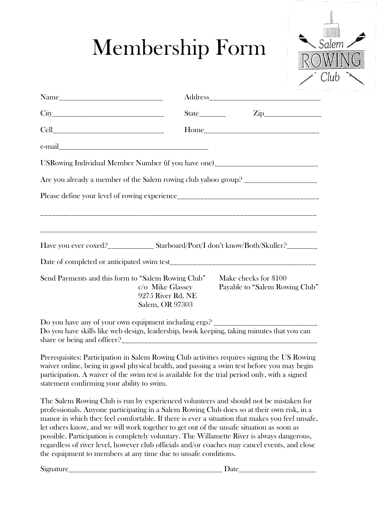## Membership Form



|                                                                                                                                                                  | Zip_________________<br>$State$ <sub>_________</sub>    |  |
|------------------------------------------------------------------------------------------------------------------------------------------------------------------|---------------------------------------------------------|--|
|                                                                                                                                                                  |                                                         |  |
|                                                                                                                                                                  |                                                         |  |
| USRowing Individual Member Number (if you have one)_____________________________<br>Are you already a member of the Salem rowing club yahoo group? $\frac{1}{2}$ |                                                         |  |
|                                                                                                                                                                  |                                                         |  |
|                                                                                                                                                                  |                                                         |  |
|                                                                                                                                                                  |                                                         |  |
| Have you ever coxed?_____________ Starboard/Port/I don't know/Both/Skuller?________                                                                              |                                                         |  |
|                                                                                                                                                                  |                                                         |  |
| Send Payments and this form to "Salem Rowing Club"<br>c/o Mike Glassey<br>9275 River Rd. NE<br>Salem, OR 97303                                                   | Make checks for \$100<br>Payable to "Salem Rowing Club" |  |
| Do you have skills like web design, leadership, book keeping, taking minutes that you can                                                                        |                                                         |  |

Prerequisites: Participation in Salem Rowing Club activities requires signing the US Rowing waiver online, being in good physical health, and passing a swim test before you may begin participation. A waiver of the swim test is available for the trial period only, with a signed statement confirming your ability to swim.

The Salem Rowing Club is run by experienced volunteers and should not be mistaken for professionals. Anyone participating in a Salem Rowing Club does so at their own risk, in a manor in which they feel comfortable. If there is ever a situation that makes you feel unsafe, let others know, and we will work together to get out of the unsafe situation as soon as possible. Participation is completely voluntary. The Willamette River is always dangerous, regardless of river level, however club officials and/or coaches may cancel events, and close the equipment to members at any time due to unsafe conditions.

Signature **Date**